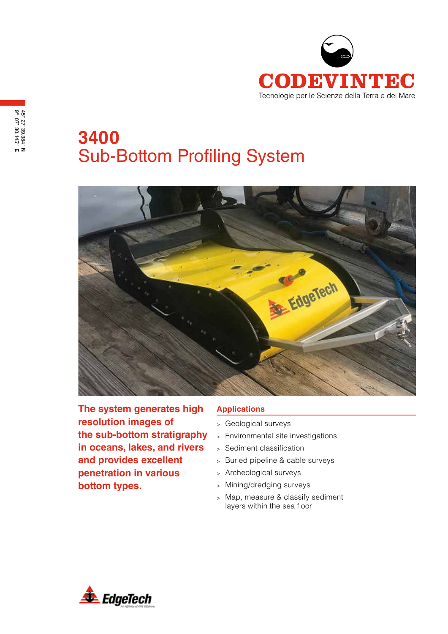

# **3400** Sub-Bottom Profiling System



**The system generates high resolution images of the sub-bottom stratigraphy in oceans, lakes, and rivers and provides excellent penetration in various bottom types.** 

#### **Applications**

- <sup>&</sup>gt; Geological surveys
- <sup>&</sup>gt; Environmental site investigations
- <sup>&</sup>gt; Sediment classification
- <sup>&</sup>gt; Buried pipeline & cable surveys
- <sup>&</sup>gt; Archeological surveys
- <sup>&</sup>gt; Mining/dredging surveys
- <sup>&</sup>gt; Map, measure & classify sediment layers within the sea floor

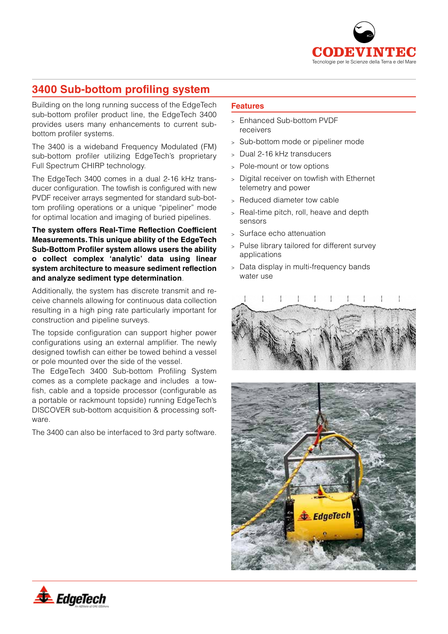

## **3400 Sub-bottom profiling system**

Building on the long running success of the EdgeTech sub-bottom profiler product line, the EdgeTech 3400 provides users many enhancements to current subbottom profiler systems.

The 3400 is a wideband Frequency Modulated (FM) sub-bottom profiler utilizing EdgeTech's proprietary Full Spectrum CHIRP technology.

The EdgeTech 3400 comes in a dual 2-16 kHz transducer configuration. The towfish is configured with new PVDF receiver arrays segmented for standard sub-bottom profiling operations or a unique "pipeliner" mode for optimal location and imaging of buried pipelines.

**The system offers Real-Time Reflection Coefficient Measurements. This unique ability of the EdgeTech Sub-Bottom Profiler system allows users the ability o collect complex 'analytic' data using linear system architecture to measure sediment reflection and analyze sediment type determination**.

Additionally, the system has discrete transmit and receive channels allowing for continuous data collection resulting in a high ping rate particularly important for construction and pipeline surveys.

The topside configuration can support higher power configurations using an external amplifier. The newly designed towfish can either be towed behind a vessel or pole mounted over the side of the vessel.

The EdgeTech 3400 Sub-bottom Profiling System comes as a complete package and includes a towfish, cable and a topside processor (configurable as a portable or rackmount topside) running EdgeTech's DISCOVER sub-bottom acquisition & processing software.

The 3400 can also be interfaced to 3rd party software.

#### **Features**

- <sup>&</sup>gt; Enhanced Sub-bottom PVDF receivers
- <sup>&</sup>gt; Sub-bottom mode or pipeliner mode
- <sup>&</sup>gt; Dual 2-16 kHz transducers
- Pole-mount or tow options
- <sup>&</sup>gt; Digital receiver on towfish with Ethernet telemetry and power
- <sup>&</sup>gt; Reduced diameter tow cable
- <sup>&</sup>gt; Real-time pitch, roll, heave and depth sensors
- <sup>&</sup>gt; Surface echo attenuation
- Pulse library tailored for different survey applications
- <sup>&</sup>gt; Data display in multi-frequency bands water use

#### ł





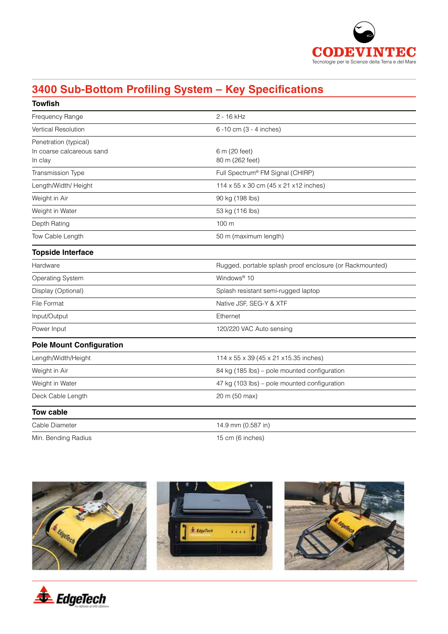

# **3400 Sub-Bottom Profiling System – Key Specifications**

| <b>Towfish</b>                                                |                                                          |
|---------------------------------------------------------------|----------------------------------------------------------|
| Frequency Range                                               | 2 - 16 kHz                                               |
| <b>Vertical Resolution</b>                                    | 6-10 cm (3 - 4 inches)                                   |
| Penetration (typical)<br>In coarse calcareous sand<br>In clay | 6 m (20 feet)<br>80 m (262 feet)                         |
| Transmission Type                                             | Full Spectrum® FM Signal (CHIRP)                         |
| Length/Width/ Height                                          | 114 x 55 x 30 cm (45 x 21 x12 inches)                    |
| Weight in Air                                                 | 90 kg (198 lbs)                                          |
| Weight in Water                                               | 53 kg (116 lbs)                                          |
| Depth Rating                                                  | 100 m                                                    |
| Tow Cable Length                                              | 50 m (maximum length)                                    |
| <b>Topside Interface</b>                                      |                                                          |
| Hardware                                                      | Rugged, portable splash proof enclosure (or Rackmounted) |
| Operating System                                              | Windows <sup>®</sup> 10                                  |
| Display (Optional)                                            | Splash resistant semi-rugged laptop                      |
| File Format                                                   | Native JSF, SEG-Y & XTF                                  |
| Input/Output                                                  | Ethernet                                                 |
| Power Input                                                   | 120/220 VAC Auto sensing                                 |
| <b>Pole Mount Configuration</b>                               |                                                          |
| Length/Width/Height                                           | 114 x 55 x 39 (45 x 21 x 15.35 inches)                   |
| Weight in Air                                                 | 84 kg (185 lbs) – pole mounted configuration             |
| Weight in Water                                               | 47 kg (103 lbs) – pole mounted configuration             |
| Deck Cable Length                                             | 20 m (50 max)                                            |
| <b>Tow cable</b>                                              |                                                          |
| Cable Diameter                                                | 14.9 mm (0.587 in)                                       |
| Min. Bending Radius                                           | 15 cm (6 inches)                                         |